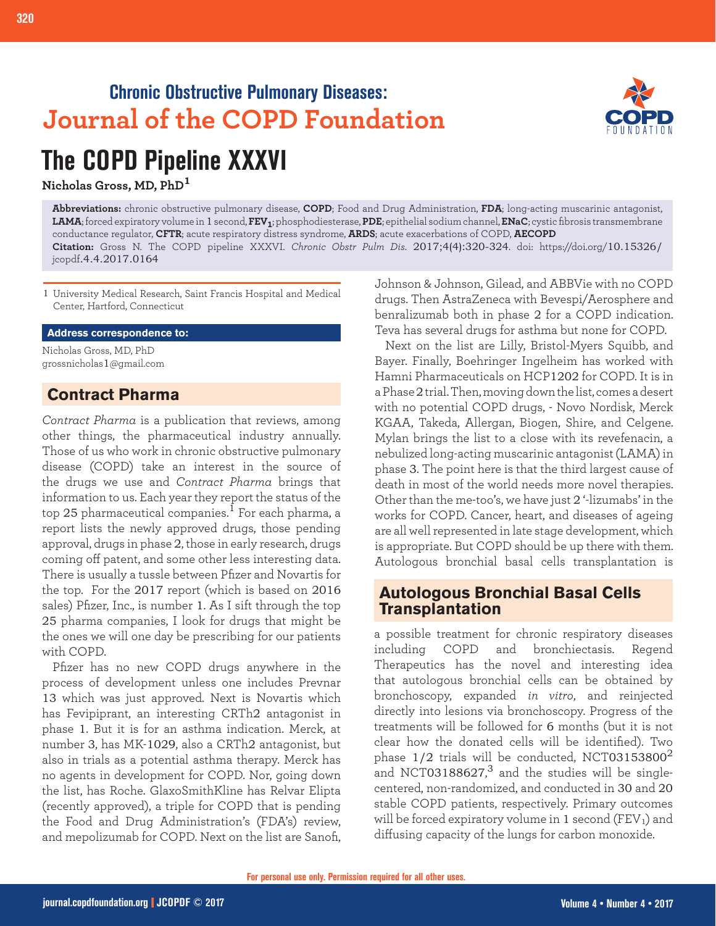## **Chronic Obstructive Pulmonary Diseases: Journal of the COPD Foundation**



# **The COPD Pipeline XXXVI**

**Nicholas Gross, MD, PhD<sup>1</sup>**

**Abbreviations:** chronic obstructive pulmonary disease, **COPD**; Food and Drug Administration, **FDA**; long-acting muscarinic antagonist, **LAMA**; forced expiratory volume in 1 second, **FEV1**; phosphodiesterase, **PDE**; epithelial sodium channel, **ENaC**; cystic fibrosis transmembrane conductance regulator, **CFTR**; acute respiratory distress syndrome, **ARDS**; acute exacerbations of COPD, **AECOPD Citation:** Gross N. The COPD pipeline XXXVI. *Chronic Obstr Pulm Dis*. 2017;4(4):320-324. doi: https://doi.org/10.15326/ jcopdf.4.4.2017.0164

1 University Medical Research, Saint Francis Hospital and Medical Center, Hartford, Connecticut

#### **Address correspondence to:**

Nicholas Gross, MD, PhD grossnicholas1@gmail.com

## **Contract Pharma**

*Contract Pharma* is a publication that reviews, among other things, the pharmaceutical industry annually. Those of us who work in chronic obstructive pulmonary disease (COPD) take an interest in the source of the drugs we use and *Contract Pharma* brings that information to us. Each year they report the status of the top 25 pharmaceutical companies.<sup>1</sup> For each pharma, a report lists the newly approved drugs, those pending approval, drugs in phase 2, those in early research, drugs coming off patent, and some other less interesting data. There is usually a tussle between Pfizer and Novartis for the top. For the 2017 report (which is based on 2016 sales) Pfizer, Inc., is number 1. As I sift through the top 25 pharma companies, I look for drugs that might be the ones we will one day be prescribing for our patients with COPD.

Pfizer has no new COPD drugs anywhere in the process of development unless one includes Prevnar 13 which was just approved. Next is Novartis which has Fevipiprant, an interesting CRTh2 antagonist in phase 1. But it is for an asthma indication. Merck, at number 3, has MK-1029, also a CRTh2 antagonist, but also in trials as a potential asthma therapy. Merck has no agents in development for COPD. Nor, going down the list, has Roche. GlaxoSmithKline has Relvar Elipta (recently approved), a triple for COPD that is pending the Food and Drug Administration's (FDA's) review, and mepolizumab for COPD. Next on the list are Sanofi,

Johnson & Johnson, Gilead, and ABBVie with no COPD drugs. Then AstraZeneca with Bevespi/Aerosphere and benralizumab both in phase 2 for a COPD indication. Teva has several drugs for asthma but none for COPD.

Next on the list are Lilly, Bristol-Myers Squibb, and Bayer. Finally, Boehringer Ingelheim has worked with Hamni Pharmaceuticals on HCP1202 for COPD. It is in a Phase 2 trial. Then, moving down the list, comes a desert with no potential COPD drugs, - Novo Nordisk, Merck KGAA, Takeda, Allergan, Biogen, Shire, and Celgene. Mylan brings the list to a close with its revefenacin, a nebulized long-acting muscarinic antagonist (LAMA) in phase 3. The point here is that the third largest cause of death in most of the world needs more novel therapies. Other than the me-too's, we have just 2 '-lizumabs' in the works for COPD. Cancer, heart, and diseases of ageing are all well represented in late stage development, which is appropriate. But COPD should be up there with them. Autologous bronchial basal cells transplantation is

## **Autologous Bronchial Basal Cells Transplantation**

a possible treatment for chronic respiratory diseases including COPD and bronchiectasis. Regend Therapeutics has the novel and interesting idea that autologous bronchial cells can be obtained by bronchoscopy, expanded *in vitro*, and reinjected directly into lesions via bronchoscopy. Progress of the treatments will be followed for 6 months (but it is not clear how the donated cells will be identified). Two phase  $1/2$  trials will be conducted, NCT03153800<sup>2</sup> and NCT03188627, $^3$  and the studies will be singlecentered, non-randomized, and conducted in 30 and 20 stable COPD patients, respectively. Primary outcomes will be forced expiratory volume in 1 second (FEV1) and diffusing capacity of the lungs for carbon monoxide.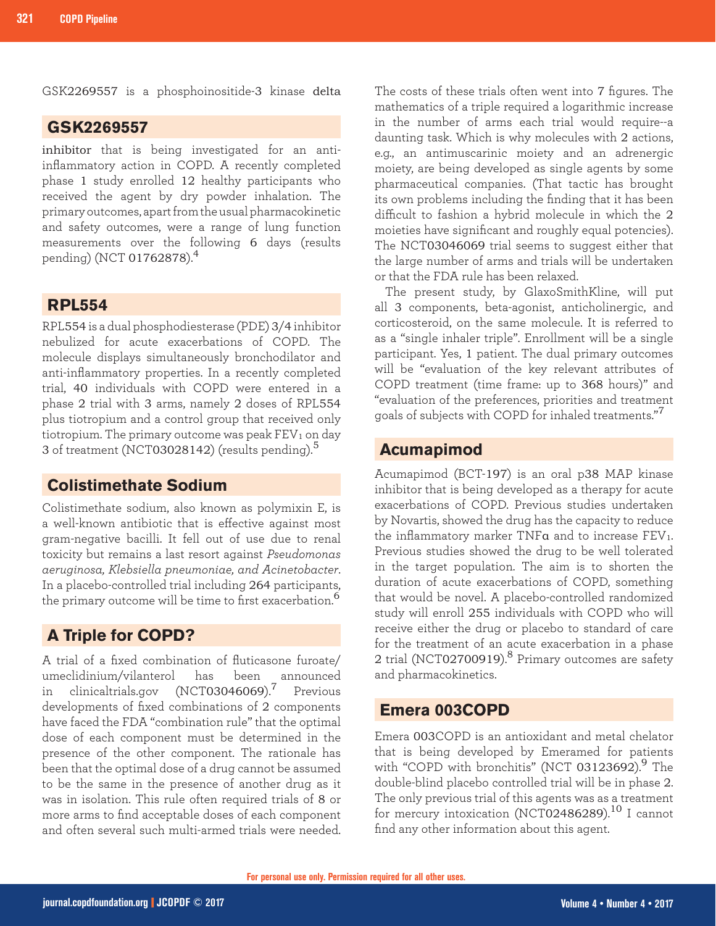GSK2269557 is a phosphoinositide-3 kinase delta

#### **GSK2269557**

inhibitor that is being investigated for an antiinflammatory action in COPD. A recently completed phase 1 study enrolled 12 healthy participants who received the agent by dry powder inhalation. The primary outcomes, apart from the usual pharmacokinetic and safety outcomes, were a range of lung function measurements over the following 6 days (results pending) (NCT 01762878).<sup>4</sup>

### **RPL554**

RPL554 is a dual phosphodiesterase (PDE) 3/4 inhibitor nebulized for acute exacerbations of COPD. The molecule displays simultaneously bronchodilator and anti-inflammatory properties. In a recently completed trial, 40 individuals with COPD were entered in a phase 2 trial with 3 arms, namely 2 doses of RPL554 plus tiotropium and a control group that received only tiotropium. The primary outcome was peak  $FEV<sub>1</sub>$  on day 3 of treatment (NCT03028142) (results pending).<sup>5</sup>

## **Colistimethate Sodium**

Colistimethate sodium, also known as polymixin E, is a well-known antibiotic that is effective against most gram-negative bacilli. It fell out of use due to renal toxicity but remains a last resort against *Pseudomonas aeruginosa, Klebsiella pneumoniae, and Acinetobacter*. In a placebo-controlled trial including 264 participants, the primary outcome will be time to first exacerbation.<sup>6</sup>

## **A Triple for COPD?**

A trial of a fixed combination of fluticasone furoate/ umeclidinium/vilanterol has been announced in clinicaltrials.gov (NCT03046069).7 Previous developments of fixed combinations of 2 components have faced the FDA "combination rule" that the optimal dose of each component must be determined in the presence of the other component. The rationale has been that the optimal dose of a drug cannot be assumed to be the same in the presence of another drug as it was in isolation. This rule often required trials of 8 or more arms to find acceptable doses of each component and often several such multi-armed trials were needed.

The costs of these trials often went into 7 figures. The mathematics of a triple required a logarithmic increase in the number of arms each trial would require--a daunting task. Which is why molecules with 2 actions, e.g., an antimuscarinic moiety and an adrenergic moiety, are being developed as single agents by some pharmaceutical companies. (That tactic has brought its own problems including the finding that it has been difficult to fashion a hybrid molecule in which the 2 moieties have significant and roughly equal potencies). The NCT03046069 trial seems to suggest either that the large number of arms and trials will be undertaken or that the FDA rule has been relaxed.

The present study, by GlaxoSmithKline, will put all 3 components, beta-agonist, anticholinergic, and corticosteroid, on the same molecule. It is referred to as a "single inhaler triple". Enrollment will be a single participant. Yes, 1 patient. The dual primary outcomes will be "evaluation of the key relevant attributes of COPD treatment (time frame: up to 368 hours)" and "evaluation of the preferences, priorities and treatment goals of subjects with COPD for inhaled treatments."<sup>7</sup>

### **Acumapimod**

Acumapimod (BCT-197) is an oral p38 MAP kinase inhibitor that is being developed as a therapy for acute exacerbations of COPD. Previous studies undertaken by Novartis, showed the drug has the capacity to reduce the inflammatory marker TNF $a$  and to increase  $FEV<sub>1</sub>$ . Previous studies showed the drug to be well tolerated in the target population. The aim is to shorten the duration of acute exacerbations of COPD, something that would be novel. A placebo-controlled randomized study will enroll 255 individuals with COPD who will receive either the drug or placebo to standard of care for the treatment of an acute exacerbation in a phase 2 trial (NCT02700919).<sup>8</sup> Primary outcomes are safety and pharmacokinetics.

#### **Emera 003COPD**

Emera 003COPD is an antioxidant and metal chelator that is being developed by Emeramed for patients with "COPD with bronchitis" (NCT 03123692). $9$  The double-blind placebo controlled trial will be in phase 2. The only previous trial of this agents was as a treatment for mercury intoxication (NCT02486289).<sup>10</sup> I cannot find any other information about this agent.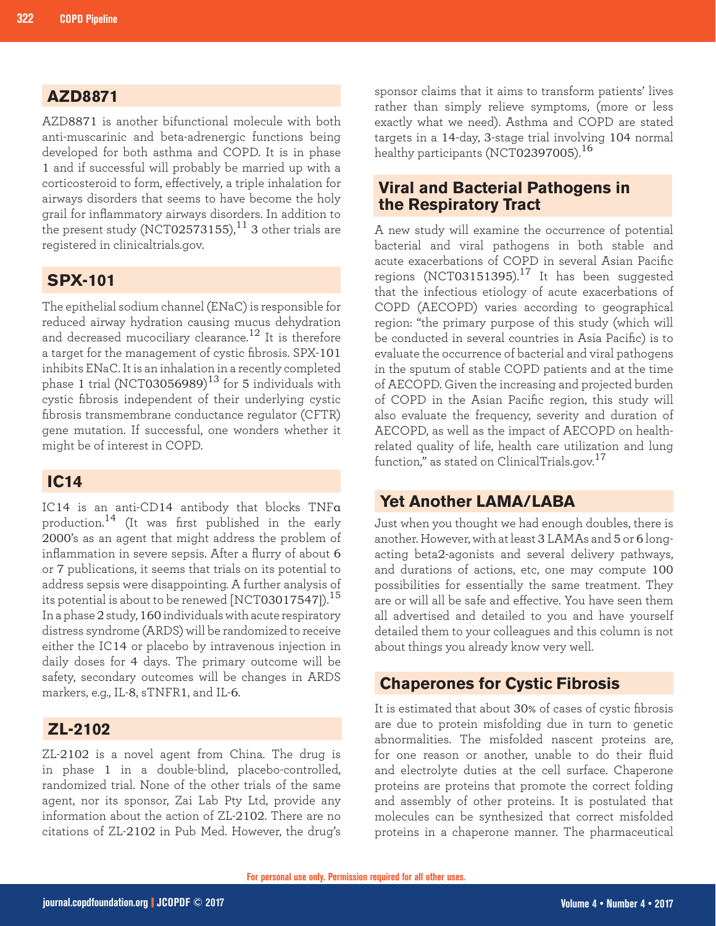## **AZD8871**

AZD8871 is another bifunctional molecule with both anti-muscarinic and beta-adrenergic functions being developed for both asthma and COPD. It is in phase 1 and if successful will probably be married up with a corticosteroid to form, effectively, a triple inhalation for airways disorders that seems to have become the holy grail for inflammatory airways disorders. In addition to the present study (NCT02573155), $^{11}$  3 other trials are registered in clinicaltrials.gov.

## **SPX-101**

The epithelial sodium channel (ENaC) is responsible for reduced airway hydration causing mucus dehydration and decreased mucociliary clearance.<sup>12</sup> It is therefore a target for the management of cystic fibrosis. SPX-101 inhibits ENaC. It is an inhalation in a recently completed phase 1 trial (NCT03056989) $^{13}$  for 5 individuals with cystic fibrosis independent of their underlying cystic fibrosis transmembrane conductance regulator (CFTR) gene mutation. If successful, one wonders whether it might be of interest in COPD.

## **IC14**

IC14 is an anti-CD14 antibody that blocks TNFα production.14 (It was first published in the early 2000's as an agent that might address the problem of inflammation in severe sepsis. After a flurry of about 6 or 7 publications, it seems that trials on its potential to address sepsis were disappointing. A further analysis of its potential is about to be renewed  $[NCT03017547]$ .<sup>15</sup> In a phase 2 study, 160 individuals with acute respiratory distress syndrome (ARDS) will be randomized to receive either the IC14 or placebo by intravenous injection in daily doses for 4 days. The primary outcome will be safety, secondary outcomes will be changes in ARDS markers, e.g., IL-8, sTNFR1, and IL-6.

## **ZL-2102**

ZL-2102 is a novel agent from China. The drug is in phase 1 in a double-blind, placebo-controlled, randomized trial. None of the other trials of the same agent, nor its sponsor, Zai Lab Pty Ltd, provide any information about the action of ZL-2102. There are no citations of ZL-2102 in Pub Med. However, the drug's sponsor claims that it aims to transform patients' lives rather than simply relieve symptoms, (more or less exactly what we need). Asthma and COPD are stated targets in a 14-day, 3-stage trial involving 104 normal healthy participants (NCT02397005).<sup>16</sup>

### **Viral and Bacterial Pathogens in the Respiratory Tract**

A new study will examine the occurrence of potential bacterial and viral pathogens in both stable and acute exacerbations of COPD in several Asian Pacific regions (NCT03151395).<sup>17</sup> It has been suggested that the infectious etiology of acute exacerbations of COPD (AECOPD) varies according to geographical region: "the primary purpose of this study (which will be conducted in several countries in Asia Pacific) is to evaluate the occurrence of bacterial and viral pathogens in the sputum of stable COPD patients and at the time of AECOPD. Given the increasing and projected burden of COPD in the Asian Pacific region, this study will also evaluate the frequency, severity and duration of AECOPD, as well as the impact of AECOPD on healthrelated quality of life, health care utilization and lung function," as stated on ClinicalTrials.gov.<sup>17</sup>

## **Yet Another LAMA/LABA**

Just when you thought we had enough doubles, there is another. However, with at least 3 LAMAs and 5 or 6 longacting beta2-agonists and several delivery pathways, and durations of actions, etc, one may compute 100 possibilities for essentially the same treatment. They are or will all be safe and effective. You have seen them all advertised and detailed to you and have yourself detailed them to your colleagues and this column is not about things you already know very well.

## **Chaperones for Cystic Fibrosis**

It is estimated that about 30% of cases of cystic fibrosis are due to protein misfolding due in turn to genetic abnormalities. The misfolded nascent proteins are, for one reason or another, unable to do their fluid and electrolyte duties at the cell surface. Chaperone proteins are proteins that promote the correct folding and assembly of other proteins. It is postulated that molecules can be synthesized that correct misfolded proteins in a chaperone manner. The pharmaceutical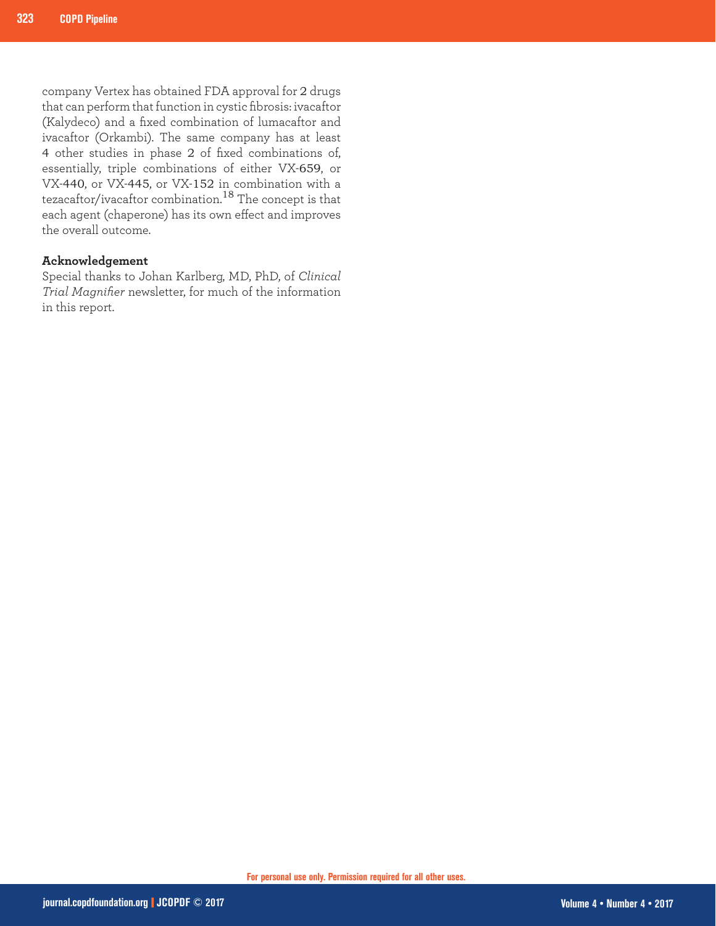company Vertex has obtained FDA approval for 2 drugs that can perform that function in cystic fibrosis: ivacaftor (Kalydeco) and a fixed combination of lumacaftor and ivacaftor (Orkambi). The same company has at least 4 other studies in phase 2 of fixed combinations of, essentially, triple combinations of either VX-659, or VX-440, or VX-445, or VX-152 in combination with a tezacaftor/ivacaftor combination.18 The concept is that each agent (chaperone) has its own effect and improves the overall outcome.

#### **Acknowledgement**

Special thanks to Johan Karlberg, MD, PhD, of *Clinical Trial Magnifier* newsletter, for much of the information in this report.